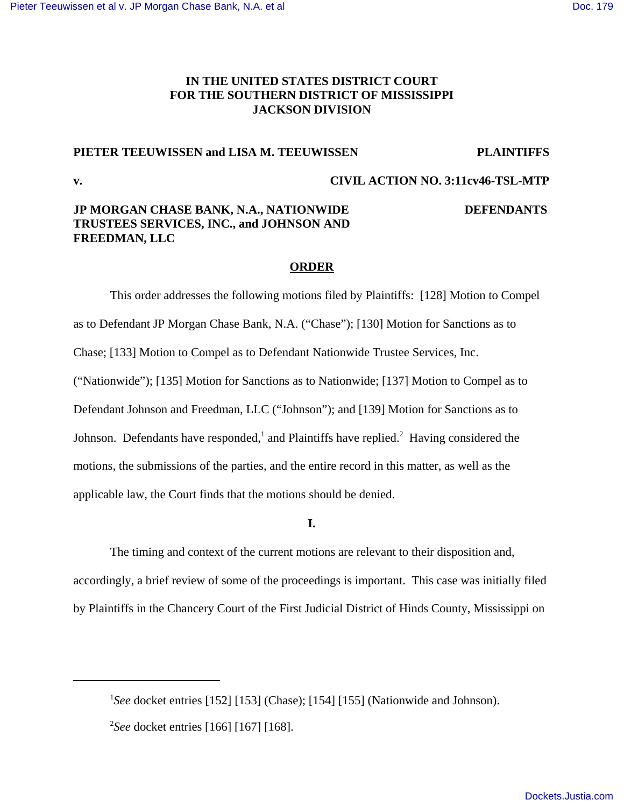# **IN THE UNITED STATES DISTRICT COURT FOR THE SOUTHERN DISTRICT OF MISSISSIPPI JACKSON DIVISION**

## **PIETER TEEUWISSEN and LISA M. TEEUWISSEN PLAINTIFFS**

## **v. CIVIL ACTION NO. 3:11cv46-TSL-MTP**

# **JP MORGAN CHASE BANK, N.A., NATIONWIDE DEFENDANTS TRUSTEES SERVICES, INC., and JOHNSON AND FREEDMAN, LLC**

### **ORDER**

This order addresses the following motions filed by Plaintiffs: [128] Motion to Compel as to Defendant JP Morgan Chase Bank, N.A. ("Chase"); [130] Motion for Sanctions as to Chase; [133] Motion to Compel as to Defendant Nationwide Trustee Services, Inc. ("Nationwide"); [135] Motion for Sanctions as to Nationwide; [137] Motion to Compel as to Defendant Johnson and Freedman, LLC ("Johnson"); and [139] Motion for Sanctions as to Johnson. Defendants have responded,<sup>1</sup> and Plaintiffs have replied.<sup>2</sup> Having considered the motions, the submissions of the parties, and the entire record in this matter, as well as the applicable law, the Court finds that the motions should be denied.

**I.**

The timing and context of the current motions are relevant to their disposition and, accordingly, a brief review of some of the proceedings is important. This case was initially filed by Plaintiffs in the Chancery Court of the First Judicial District of Hinds County, Mississippi on

<sup>&</sup>lt;sup>1</sup>See docket entries [152] [153] (Chase); [154] [155] (Nationwide and Johnson).

<sup>2</sup> *See* docket entries [166] [167] [168].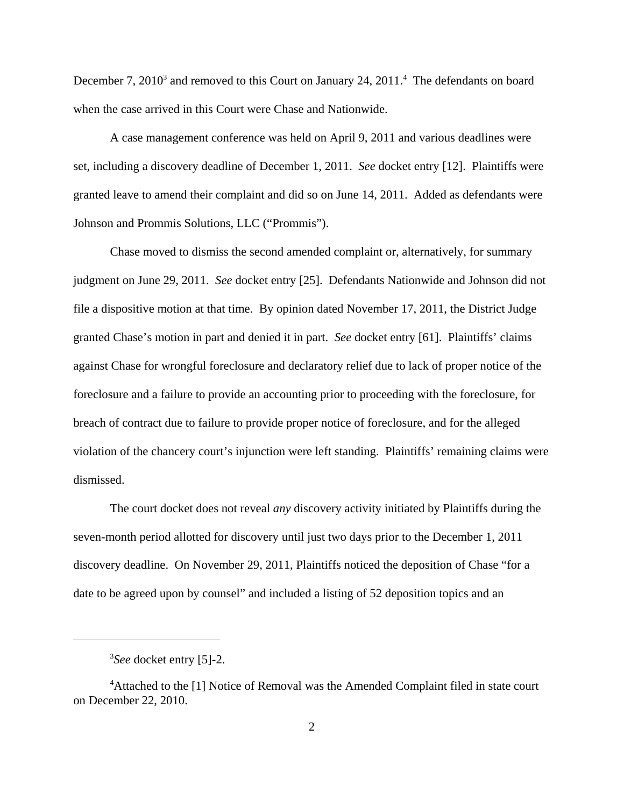December 7, 2010<sup>3</sup> and removed to this Court on January 24, 2011.<sup>4</sup> The defendants on board when the case arrived in this Court were Chase and Nationwide.

A case management conference was held on April 9, 2011 and various deadlines were set, including a discovery deadline of December 1, 2011. *See* docket entry [12]. Plaintiffs were granted leave to amend their complaint and did so on June 14, 2011. Added as defendants were Johnson and Prommis Solutions, LLC ("Prommis").

Chase moved to dismiss the second amended complaint or, alternatively, for summary judgment on June 29, 2011. *See* docket entry [25]. Defendants Nationwide and Johnson did not file a dispositive motion at that time. By opinion dated November 17, 2011, the District Judge granted Chase's motion in part and denied it in part. *See* docket entry [61]. Plaintiffs' claims against Chase for wrongful foreclosure and declaratory relief due to lack of proper notice of the foreclosure and a failure to provide an accounting prior to proceeding with the foreclosure, for breach of contract due to failure to provide proper notice of foreclosure, and for the alleged violation of the chancery court's injunction were left standing. Plaintiffs' remaining claims were dismissed.

 The court docket does not reveal *any* discovery activity initiated by Plaintiffs during the seven-month period allotted for discovery until just two days prior to the December 1, 2011 discovery deadline. On November 29, 2011, Plaintiffs noticed the deposition of Chase "for a date to be agreed upon by counsel" and included a listing of 52 deposition topics and an

<sup>3</sup> *See* docket entry [5]-2.

<sup>4</sup>Attached to the [1] Notice of Removal was the Amended Complaint filed in state court on December 22, 2010.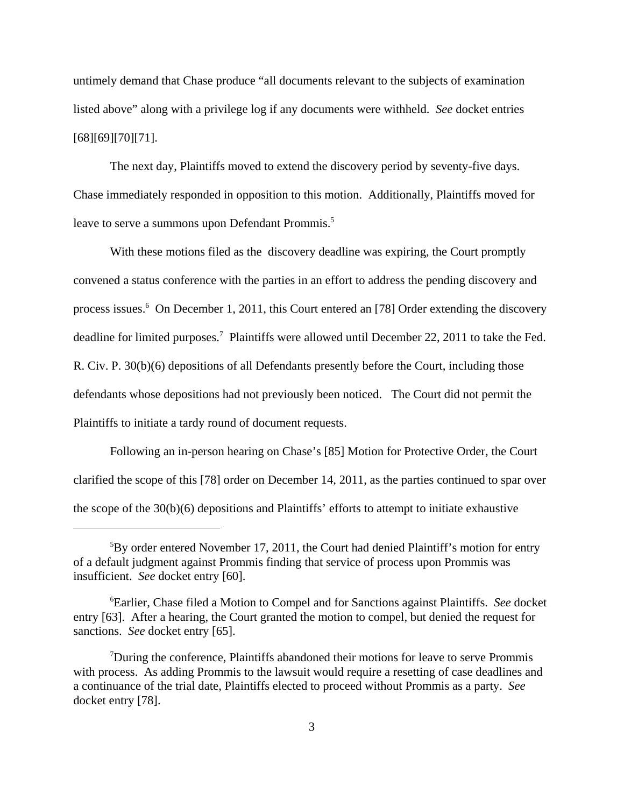untimely demand that Chase produce "all documents relevant to the subjects of examination listed above" along with a privilege log if any documents were withheld. *See* docket entries [68][69][70][71].

The next day, Plaintiffs moved to extend the discovery period by seventy-five days. Chase immediately responded in opposition to this motion. Additionally, Plaintiffs moved for leave to serve a summons upon Defendant Prommis.<sup>5</sup>

With these motions filed as the discovery deadline was expiring, the Court promptly convened a status conference with the parties in an effort to address the pending discovery and process issues.<sup>6</sup> On December 1, 2011, this Court entered an [78] Order extending the discovery deadline for limited purposes.<sup>7</sup> Plaintiffs were allowed until December 22, 2011 to take the Fed. R. Civ. P. 30(b)(6) depositions of all Defendants presently before the Court, including those defendants whose depositions had not previously been noticed. The Court did not permit the Plaintiffs to initiate a tardy round of document requests.

Following an in-person hearing on Chase's [85] Motion for Protective Order, the Court clarified the scope of this [78] order on December 14, 2011, as the parties continued to spar over the scope of the 30(b)(6) depositions and Plaintiffs' efforts to attempt to initiate exhaustive

 $5By$  order entered November 17, 2011, the Court had denied Plaintiff's motion for entry of a default judgment against Prommis finding that service of process upon Prommis was insufficient. *See* docket entry [60].

<sup>6</sup>Earlier, Chase filed a Motion to Compel and for Sanctions against Plaintiffs. *See* docket entry [63]. After a hearing, the Court granted the motion to compel, but denied the request for sanctions. *See* docket entry [65].

<sup>7</sup>During the conference, Plaintiffs abandoned their motions for leave to serve Prommis with process. As adding Prommis to the lawsuit would require a resetting of case deadlines and a continuance of the trial date, Plaintiffs elected to proceed without Prommis as a party. *See* docket entry [78].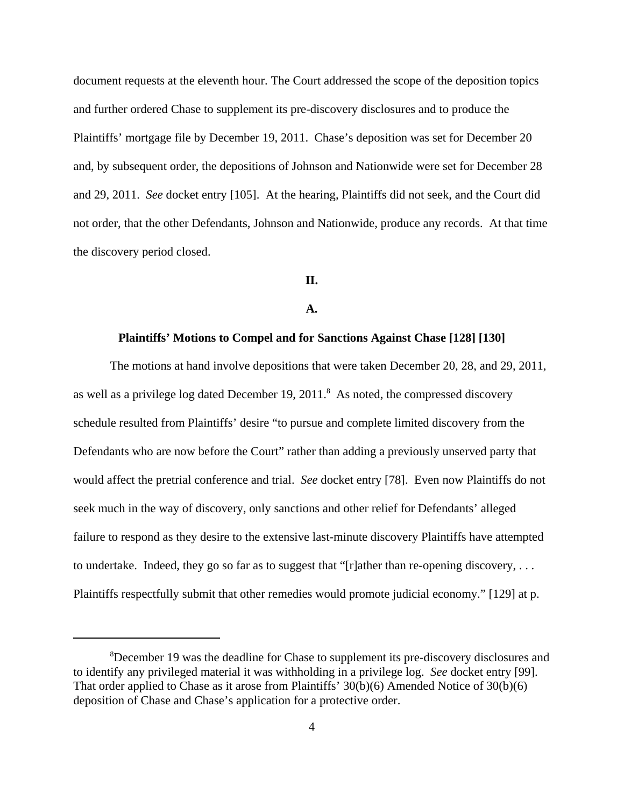document requests at the eleventh hour. The Court addressed the scope of the deposition topics and further ordered Chase to supplement its pre-discovery disclosures and to produce the Plaintiffs' mortgage file by December 19, 2011. Chase's deposition was set for December 20 and, by subsequent order, the depositions of Johnson and Nationwide were set for December 28 and 29, 2011. *See* docket entry [105]. At the hearing, Plaintiffs did not seek, and the Court did not order, that the other Defendants, Johnson and Nationwide, produce any records. At that time the discovery period closed.

# **II.**

#### **A.**

### **Plaintiffs' Motions to Compel and for Sanctions Against Chase [128] [130]**

The motions at hand involve depositions that were taken December 20, 28, and 29, 2011, as well as a privilege log dated December 19,  $2011$ .<sup>8</sup> As noted, the compressed discovery schedule resulted from Plaintiffs' desire "to pursue and complete limited discovery from the Defendants who are now before the Court" rather than adding a previously unserved party that would affect the pretrial conference and trial. *See* docket entry [78]. Even now Plaintiffs do not seek much in the way of discovery, only sanctions and other relief for Defendants' alleged failure to respond as they desire to the extensive last-minute discovery Plaintiffs have attempted to undertake. Indeed, they go so far as to suggest that "[r]ather than re-opening discovery, . . . Plaintiffs respectfully submit that other remedies would promote judicial economy." [129] at p.

<sup>8</sup>December 19 was the deadline for Chase to supplement its pre-discovery disclosures and to identify any privileged material it was withholding in a privilege log. *See* docket entry [99]. That order applied to Chase as it arose from Plaintiffs' 30(b)(6) Amended Notice of 30(b)(6) deposition of Chase and Chase's application for a protective order.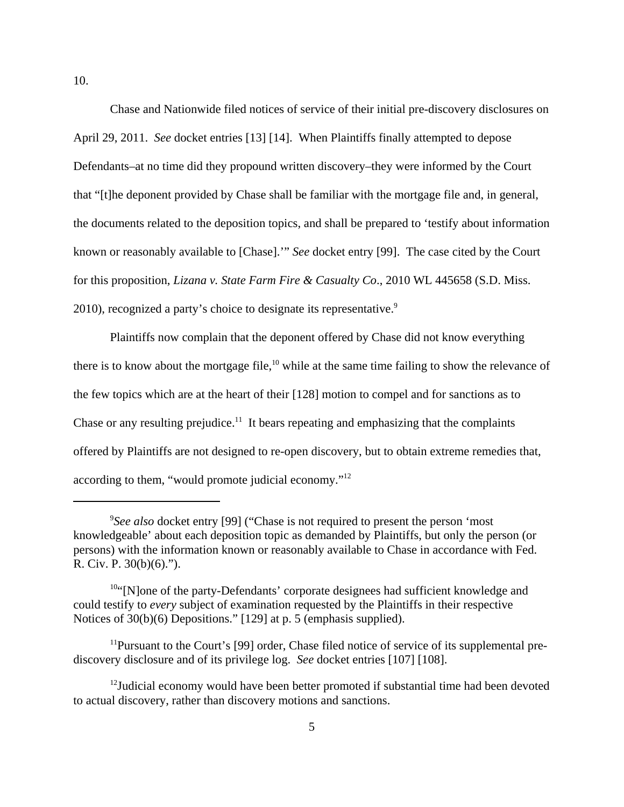Chase and Nationwide filed notices of service of their initial pre-discovery disclosures on April 29, 2011. *See* docket entries [13] [14]. When Plaintiffs finally attempted to depose Defendants–at no time did they propound written discovery–they were informed by the Court that "[t]he deponent provided by Chase shall be familiar with the mortgage file and, in general, the documents related to the deposition topics, and shall be prepared to 'testify about information known or reasonably available to [Chase].'" *See* docket entry [99]. The case cited by the Court for this proposition, *Lizana v. State Farm Fire & Casualty Co*., 2010 WL 445658 (S.D. Miss. 2010), recognized a party's choice to designate its representative.<sup>9</sup>

Plaintiffs now complain that the deponent offered by Chase did not know everything there is to know about the mortgage file,<sup>10</sup> while at the same time failing to show the relevance of the few topics which are at the heart of their [128] motion to compel and for sanctions as to Chase or any resulting prejudice.<sup>11</sup> It bears repeating and emphasizing that the complaints offered by Plaintiffs are not designed to re-open discovery, but to obtain extreme remedies that, according to them, "would promote judicial economy."<sup>12</sup>

<sup>&</sup>lt;sup>9</sup>See also docket entry [99] ("Chase is not required to present the person 'most knowledgeable' about each deposition topic as demanded by Plaintiffs, but only the person (or persons) with the information known or reasonably available to Chase in accordance with Fed. R. Civ. P. 30(b)(6).").

<sup>&</sup>lt;sup>10"</sup>[N]one of the party-Defendants' corporate designees had sufficient knowledge and could testify to *every* subject of examination requested by the Plaintiffs in their respective Notices of 30(b)(6) Depositions." [129] at p. 5 (emphasis supplied).

<sup>&</sup>lt;sup>11</sup>Pursuant to the Court's [99] order, Chase filed notice of service of its supplemental prediscovery disclosure and of its privilege log. *See* docket entries [107] [108].

<sup>&</sup>lt;sup>12</sup>Judicial economy would have been better promoted if substantial time had been devoted to actual discovery, rather than discovery motions and sanctions.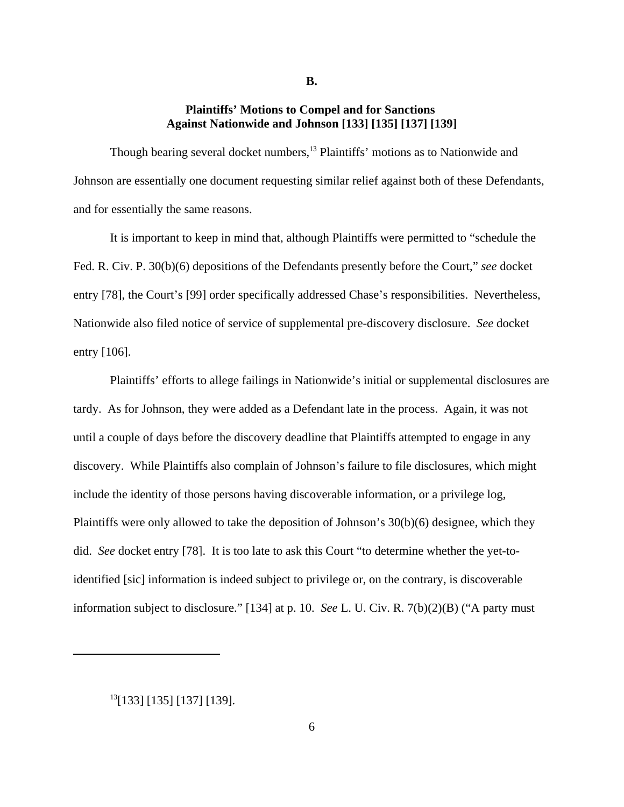**B.**

### **Plaintiffs' Motions to Compel and for Sanctions Against Nationwide and Johnson [133] [135] [137] [139]**

Though bearing several docket numbers,<sup>13</sup> Plaintiffs' motions as to Nationwide and Johnson are essentially one document requesting similar relief against both of these Defendants, and for essentially the same reasons.

It is important to keep in mind that, although Plaintiffs were permitted to "schedule the Fed. R. Civ. P. 30(b)(6) depositions of the Defendants presently before the Court," *see* docket entry [78], the Court's [99] order specifically addressed Chase's responsibilities. Nevertheless, Nationwide also filed notice of service of supplemental pre-discovery disclosure. *See* docket entry [106].

Plaintiffs' efforts to allege failings in Nationwide's initial or supplemental disclosures are tardy. As for Johnson, they were added as a Defendant late in the process. Again, it was not until a couple of days before the discovery deadline that Plaintiffs attempted to engage in any discovery. While Plaintiffs also complain of Johnson's failure to file disclosures, which might include the identity of those persons having discoverable information, or a privilege log, Plaintiffs were only allowed to take the deposition of Johnson's 30(b)(6) designee, which they did. *See* docket entry [78]. It is too late to ask this Court "to determine whether the yet-toidentified [sic] information is indeed subject to privilege or, on the contrary, is discoverable information subject to disclosure." [134] at p. 10. *See* L. U. Civ. R. 7(b)(2)(B) ("A party must

 $^{13}[133]$  [135] [137] [139].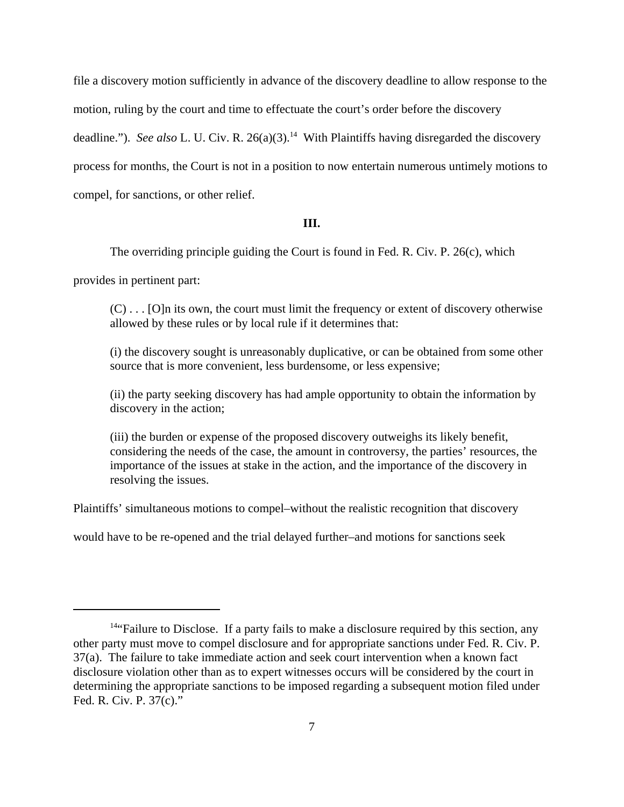file a discovery motion sufficiently in advance of the discovery deadline to allow response to the motion, ruling by the court and time to effectuate the court's order before the discovery deadline."). *See also* L. U. Civ. R.  $26(a)(3)$ .<sup>14</sup> With Plaintiffs having disregarded the discovery process for months, the Court is not in a position to now entertain numerous untimely motions to compel, for sanctions, or other relief.

### **III.**

The overriding principle guiding the Court is found in Fed. R. Civ. P. 26(c), which

provides in pertinent part:

 $(C) \ldots$  [O]n its own, the court must limit the frequency or extent of discovery otherwise allowed by these rules or by local rule if it determines that:

(i) the discovery sought is unreasonably duplicative, or can be obtained from some other source that is more convenient, less burdensome, or less expensive;

(ii) the party seeking discovery has had ample opportunity to obtain the information by discovery in the action;

(iii) the burden or expense of the proposed discovery outweighs its likely benefit, considering the needs of the case, the amount in controversy, the parties' resources, the importance of the issues at stake in the action, and the importance of the discovery in resolving the issues.

Plaintiffs' simultaneous motions to compel–without the realistic recognition that discovery

would have to be re-opened and the trial delayed further–and motions for sanctions seek

<sup>&</sup>lt;sup>14"</sup>Failure to Disclose. If a party fails to make a disclosure required by this section, any other party must move to compel disclosure and for appropriate sanctions under Fed. R. Civ. P. 37(a). The failure to take immediate action and seek court intervention when a known fact disclosure violation other than as to expert witnesses occurs will be considered by the court in determining the appropriate sanctions to be imposed regarding a subsequent motion filed under Fed. R. Civ. P. 37(c)."